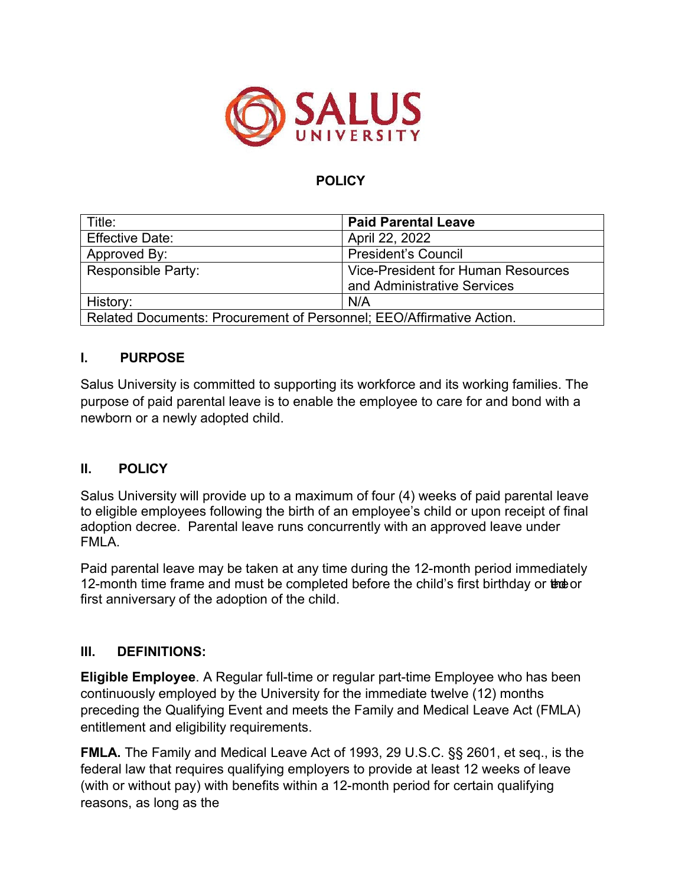

## **POLICY**

| Title:                                                               | <b>Paid Parental Leave</b>                |
|----------------------------------------------------------------------|-------------------------------------------|
| <b>Effective Date:</b>                                               | April 22, 2022                            |
| Approved By:                                                         | <b>President's Council</b>                |
| <b>Responsible Party:</b>                                            | <b>Vice-President for Human Resources</b> |
|                                                                      | and Administrative Services               |
| History:                                                             | N/A                                       |
| Related Documents: Procurement of Personnel; EEO/Affirmative Action. |                                           |

### **I. PURPOSE**

Salus University is committed to supporting its workforce and its working families. The purpose of paid parental leave is to enable the employee to care for and bond with a newborn or a newly adopted child.

### **II. POLICY**

Salus University will provide up to a maximum of four (4) weeks of paid parental leave to eligible employees following the birth of an employee's child or upon receipt of final adoption decree. Parental leave runs concurrently with an approved leave under FMLA.

Paid parental leave may be taken at any time during the 12-month period immediately 12-month time frame and must be completed before the child's first birthday or the or first anniversary of the adoption of the child.

### **III. DEFINITIONS:**

**Eligible Employee**. A Regular full-time or regular part-time Employee who has been continuously employed by the University for the immediate twelve (12) months preceding the Qualifying Event and meets the Family and Medical Leave Act (FMLA) entitlement and eligibility requirements.

**FMLA.** The Family and Medical Leave Act of 1993, 29 U.S.C. §§ 2601, et seq., is the federal law that requires qualifying employers to provide at least 12 weeks of leave (with or without pay) with benefits within a 12-month period for certain qualifying reasons, as long as the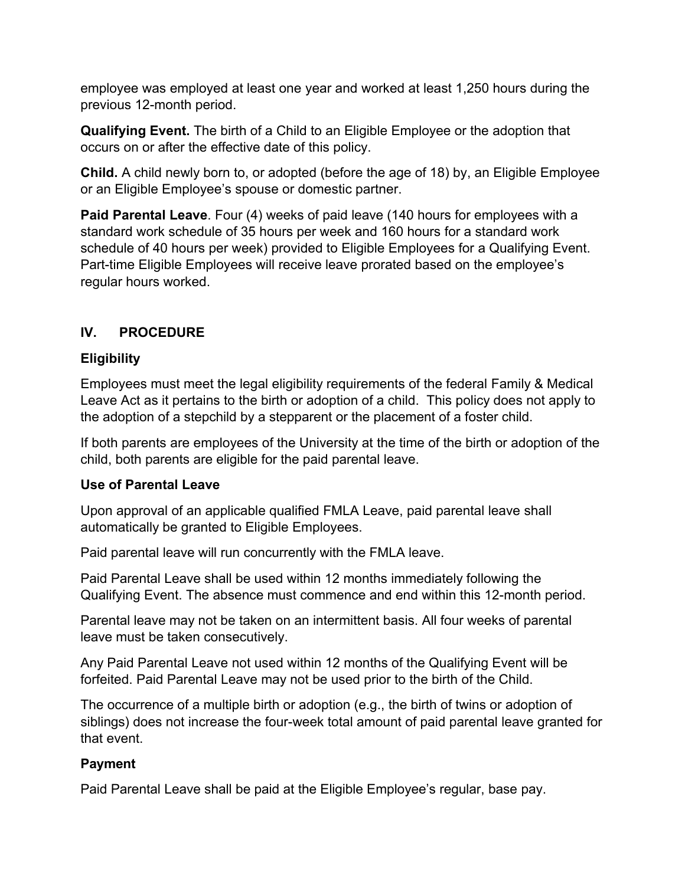employee was employed at least one year and worked at least 1,250 hours during the previous 12-month period.

**Qualifying Event.** The birth of a Child to an Eligible Employee or the adoption that occurs on or after the effective date of this policy.

**Child.** A child newly born to, or adopted (before the age of 18) by, an Eligible Employee or an Eligible Employee's spouse or domestic partner.

**Paid Parental Leave**. Four (4) weeks of paid leave (140 hours for employees with a standard work schedule of 35 hours per week and 160 hours for a standard work schedule of 40 hours per week) provided to Eligible Employees for a Qualifying Event. Part-time Eligible Employees will receive leave prorated based on the employee's regular hours worked.

# **IV. PROCEDURE**

### **Eligibility**

Employees must meet the legal eligibility requirements of the federal Family & Medical Leave Act as it pertains to the birth or adoption of a child. This policy does not apply to the adoption of a stepchild by a stepparent or the placement of a foster child.

If both parents are employees of the University at the time of the birth or adoption of the child, both parents are eligible for the paid parental leave.

### **Use of Parental Leave**

Upon approval of an applicable qualified FMLA Leave, paid parental leave shall automatically be granted to Eligible Employees.

Paid parental leave will run concurrently with the FMLA leave.

Paid Parental Leave shall be used within 12 months immediately following the Qualifying Event. The absence must commence and end within this 12-month period.

Parental leave may not be taken on an intermittent basis. All four weeks of parental leave must be taken consecutively.

Any Paid Parental Leave not used within 12 months of the Qualifying Event will be forfeited. Paid Parental Leave may not be used prior to the birth of the Child.

The occurrence of a multiple birth or adoption (e.g., the birth of twins or adoption of siblings) does not increase the four-week total amount of paid parental leave granted for that event.

## **Payment**

Paid Parental Leave shall be paid at the Eligible Employee's regular, base pay.